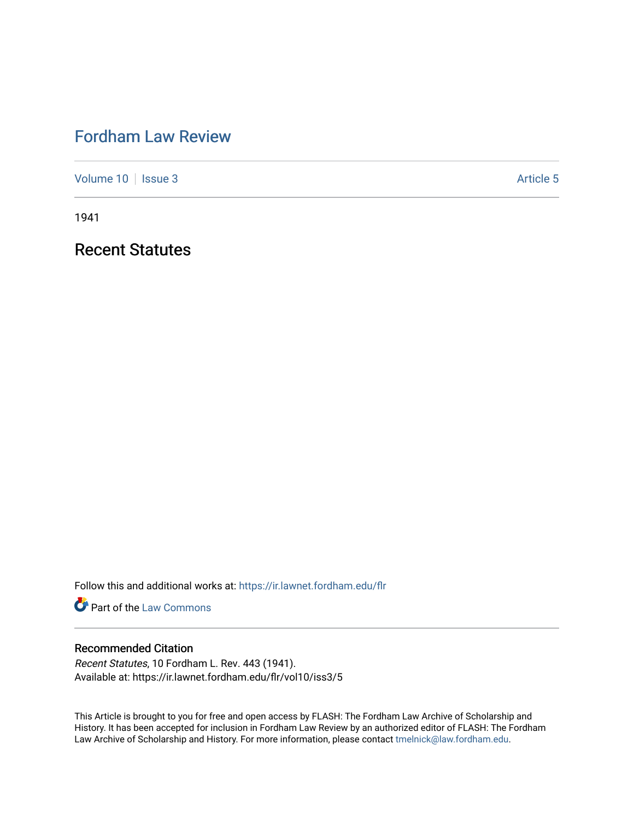## [Fordham Law Review](https://ir.lawnet.fordham.edu/flr)

[Volume 10](https://ir.lawnet.fordham.edu/flr/vol10) | [Issue 3](https://ir.lawnet.fordham.edu/flr/vol10/iss3) Article 5

1941

Recent Statutes

Follow this and additional works at: [https://ir.lawnet.fordham.edu/flr](https://ir.lawnet.fordham.edu/flr?utm_source=ir.lawnet.fordham.edu%2Fflr%2Fvol10%2Fiss3%2F5&utm_medium=PDF&utm_campaign=PDFCoverPages)

**Part of the [Law Commons](http://network.bepress.com/hgg/discipline/578?utm_source=ir.lawnet.fordham.edu%2Fflr%2Fvol10%2Fiss3%2F5&utm_medium=PDF&utm_campaign=PDFCoverPages)** 

## Recommended Citation

Recent Statutes, 10 Fordham L. Rev. 443 (1941). Available at: https://ir.lawnet.fordham.edu/flr/vol10/iss3/5

This Article is brought to you for free and open access by FLASH: The Fordham Law Archive of Scholarship and History. It has been accepted for inclusion in Fordham Law Review by an authorized editor of FLASH: The Fordham Law Archive of Scholarship and History. For more information, please contact [tmelnick@law.fordham.edu](mailto:tmelnick@law.fordham.edu).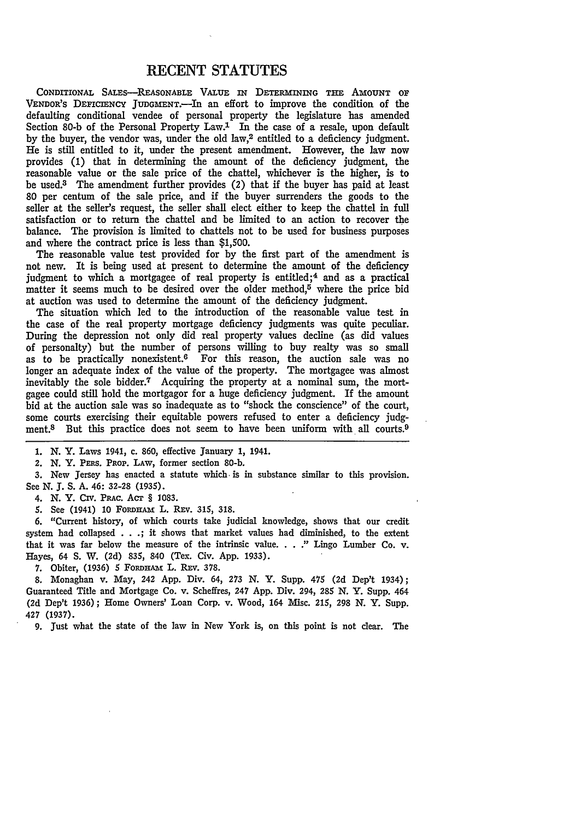## **RECENT STATUTES**

CoNDrnioNAL SALEs-REAsONABLE VALUE **IN DETERMINING THE AMOUNT OF** VENDoR's DEFICIENCY JUDGMENT.-In an effort to improve the condition of the defaulting conditional vendee of personal property the legislature has amended Section 80-b of the Personal Property Law.<sup>1</sup> In the case of a resale, upon default by the buyer, the vendor was, under the old law,2 entitled to a deficiency judgment. He is still entitled to it, under the present amendment. However, the law now provides (1) that in determining the amount of the deficiency judgment, the reasonable value or the sale price of the chattel, whichever is the higher, is to be used.3 The amendment further provides (2) that if the buyer has paid at least 80 per centum of the sale price, and if the buyer surrenders the goods to the seller at the seller's request, the seller shall elect either to keep the chattel in full satisfaction or to return the chattel and be limited to an action to recover the balance. The provision is limited to chattels not to be used for business purposes and where the contract price is less than \$1,500.

The reasonable value test provided for by the first part of the amendment is not new. It is being used at present to determine the amount of the deficiency judgment to which a mortgagee of real property is entitled;<sup>4</sup> and as a practical matter it seems much to be desired over the older method,<sup>5</sup> where the price bid at auction was used to determine the amount of the deficiency judgment.

The situation which led to the introduction of the reasonable value test in the case of the real property mortgage deficiency judgments was quite peculiar. During the depression not only did real property values decline (as did values of personalty) but the number of persons willing to buy realty was so small as to be practically nonexistent.6 For this reason, the auction sale was no longer an adequate index of the value of the property. The mortgagee was almost inevitably the sole bidder.7 Acquiring the property at a nominal sum, the mortgagee could still hold the mortgagor for a huge deficiency judgment. If the amount bid at the auction sale was so inadequate as to "shock the conscience" of the court, some courts exercising their equitable powers refused to enter a deficiency judgment.<sup>8</sup> But this practice does not seem to have been uniform with all courts.<sup>9</sup>

1. N. Y. Laws 1941, c. 860, effective January **1,** 1941.

2. N. Y. PERs. PROP. LAW, former section 80-b.

3. New Jersey has enacted a statute which. is in substance similar to this provision. See N. *J.* **S.** A. 46: **32-28 (1935).**

4. N. Y. Civ. Pmc. AcT § **1083.**

5. See (1941) 10 FORDHAM L. REV. 315, 318.

6. "Current history, of which courts take judicial knowledge, shows that our credit system had collapsed . **. .;** it shows that market values had diminished, to the extent that it was far below the measure of the intrinsic value **...** " Lingo Lumber Co. v. Hayes, 64 S. W. (2d) 835, 840 (Tex. Civ. App. **1933).**

7. Obiter, (1936) 5 FORDHAM L. REV. 378.

**8.** Monaghan v. May, **242 App.** Div. 64, **273 N.** Y. Supp. 475 **(2d** Dep't 1934); Guaranteed Title and Mortgage Co. v. Scheffres, **247 App.** Div. **294, 285 N.** Y. Supp. 464 **(2d** Dep't 1936); Home Owners' Loan Corp. v. Wood, 164 Misc. 215, **298** *N.* Y. Supp. **427 (1937).**

**9.** just what the state of the law in New York is, on this point is not dear. The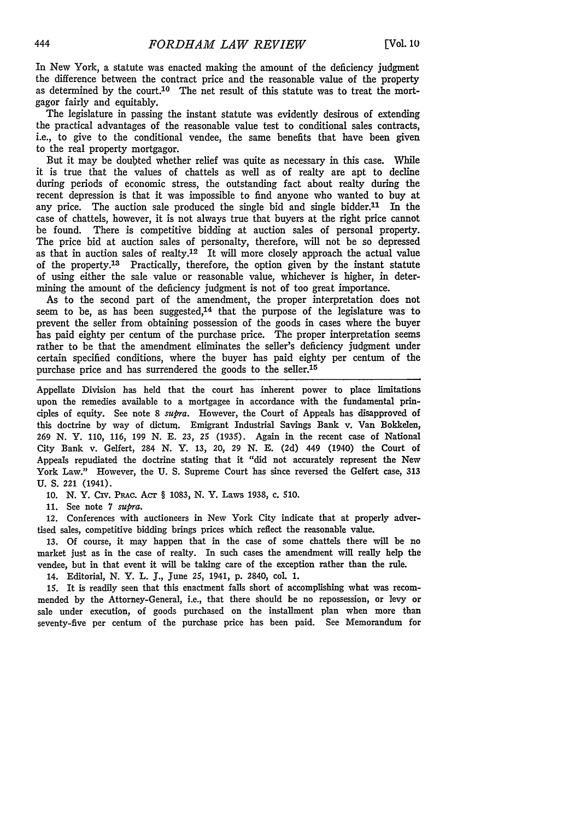In New York, a statute was enacted making the amount of the deficiency judgment the difference between the contract price and the reasonable value of the property as determined by the court.10 The net result of this statute was to treat the mortgagor fairly and equitably.

The legislature in passing the instant statute was evidently desirous of extending the practical advantages of the reasonable value test to conditional sales contracts, i.e., to give to the conditional vendee, the same benefits that have been given to the real property mortgagor.

But it may be doubted whether relief was quite as necessary in this case. While it is true that the values of chattels as well as of realty are apt to decline during periods of economic stress, the outstanding fact about realty during the recent depression is that it was impossible to find anyone who wanted to buy at any price. The auction sale produced the single bid and single bidder.<sup>11</sup> In the case of chattels, however, it is not always true that buyers at the right price cannot be found. There is competitive bidding at auction sales of personal property. The price bid at auction sales of personalty, therefore, will not be so depressed as that in auction sales of realty.<sup>12</sup> It will more closely approach the actual value of the property.<sup>13</sup> Practically, therefore, the option given by the instant statute of using either the sale value or reasonable value, whichever is higher, in determining the amount of the deficiency judgment is not of too great importance.

As to the second part of the amendment, the proper interpretation does not seem to be, as has been suggested,14 that the purpose of the legislature was to prevent the seller from obtaining possession of the goods in cases where the buyer has paid eighty per centum of the purchase price. The proper interpretation seems rather to be that the amendment eliminates the seller's deficiency judgment under certain specified conditions, where the buyer has paid eighty per centum of the purchase price and has surrendered the goods to the seller.<sup>15</sup>

Appellate Division has held that the court has inherent power to place limitations upon the remedies available to a mortgagee in accordance with the fundamental principles of equity. See note 8 *supra.* However, the Court of Appeals has disapproved of this doctrine by way of dictum. Emigrant Industrial Savings Bank v. Van Bokkelen, **269 N.** Y. 110, 116, 199 **N. E.** 23, 25 (1935). Again in the recent case of National City Bank v. Gelfert, 284 **N.** Y. 13, 20, **29** N. **E.** (2d) 449 (1940) the Court of Appeals repudiated the doctrine stating that it "did not accurately represent the New York Law." However, the U. S. Supreme Court has since reversed the Gelfert case, 313 **U.** S. 221 (1941).

10. *N.* Y. Civ. PRAc. Acr § 1083, N. Y. Laws 1938, c. 510.

11. See note 7 *supra.*

12. Conferences with auctioneers in New York City indicate that at properly advertised sales, competitive bidding brings prices which reflect the reasonable value.

13. Of course, it may happen that in the case of some chattels there will be no market just as in the case of realty. In such cases the amendment will really help the vendee, but in that event it will be taking care of the exception rather than the rule. 14. Editorial, N. Y. L. J., June 25, 1941, p. 2840, col. 1.

15. It is readily seen that this enactment falls short of accomplishing what was recommended by the Attorney-General, i.e., that there should be no repossession, or levy or sale under execution, of goods purchased on the installment plan when more than seventy-five per centum of the purchase price has been paid. See Memorandum for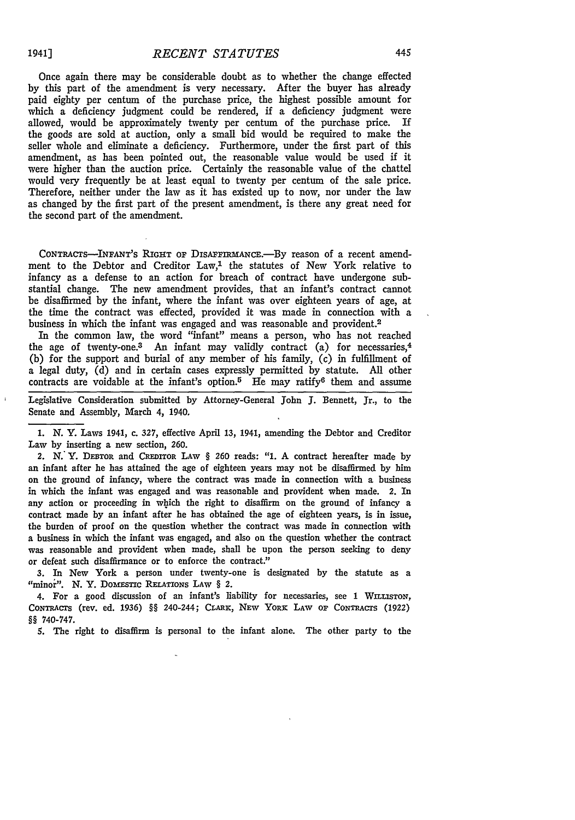$\bar{1}$ 

Once again there may be considerable doubt as to whether the change effected by this part of the amendment is very necessary. After the buyer has already paid eighty per centum of the purchase price, the highest possible amount for which a deficiency judgment could be rendered, **if** a deficiency judgment were allowed, would be approximately twenty per centum of the purchase price. If the goods are sold at auction, only a small bid would be required to make the seller whole and eliminate a deficiency. Furthermore, under the first part of this amendment, as has been pointed out, the reasonable value would be used if it were higher than the auction price. Certainly the reasonable value of the chattel would very frequently be at least equal to twenty per centum of the sale price. Therefore, neither under the law as it has existed up to now, nor under the law as changed by the first part of the present amendment, is there any great need for the second part of the amendment.

CONTRACTS--INFANT'S RIGHT OF DISAFFIRMANCE.-By reason of a recent amendment to the Debtor and Creditor  $Law<sup>1</sup>$ , the statutes of New York relative to infancy as a defense to an action for breach of contract have undergone substantial change. The new amendment provides, that an infant's contract cannot be disaffirmed by the infant, where the infant was over eighteen years of age, at the time the contract was effected, provided it was made in connection with a business in which the infant was engaged and was reasonable and provident.2

In the common law, the word "infant" means a person, who has not reached the age of twenty-one.<sup>3</sup> An infant may validly contract (a) for necessaries,<sup>4</sup> (b) for the support and burial of any member of his family, (c) in fulfillment of a legal duty, (d) and in certain cases expressly permitted by statute. All other contracts are voidable at the infant's option.<sup>5</sup> He may ratify<sup>6</sup> them and assume

Legislative Consideration submitted by Attorney-General John J. Bennett, Jr., to the Senate and Assembly, March 4, 1940.

1. N. Y. Laws 1941, c. 327, effective April 13, 1941, amending the Debtor and Creditor Law by inserting a new section, **260.**

2. N.'Y. DEBTOR and **CREDITOR LAW** § **260** reads: **"1.** A contract hereafter made **by** an infant after he has attained the age of eighteen years may not be disaffimed **by** him on the ground of infancy, where the contract was made in connection with a business in which the infant was engaged and was reasonable and provident when made. 2. In any action or proceeding in which the right to disaffirm on the ground of infancy a contract made by an infant after he has obtained the age of eighteen years, is in issue, the burden of proof on the question whether the contract was made in connection with a business in which the infant was engaged, and also on the question whether the contract was reasonable and provident when made, shall be upon the person seeking to deny or defeat such disaffirmance or to enforce the contract."

3. In New York a person under twenty-one is designated **by** the statute as a "minor". N. Y. DOMESTIC RELATIONS LAW § 2.

4. For a good discussion of an infant's liability for necessaries, see 1 WILLISTON, CONTRACTS (rev. ed. 1936) §§ 240-244; CARx, NEW **YORK LAW OF CONTRACTS** (1922) §§ 740-747.

**S.** The right to disaffirm is personal to the infant alone. The other party to the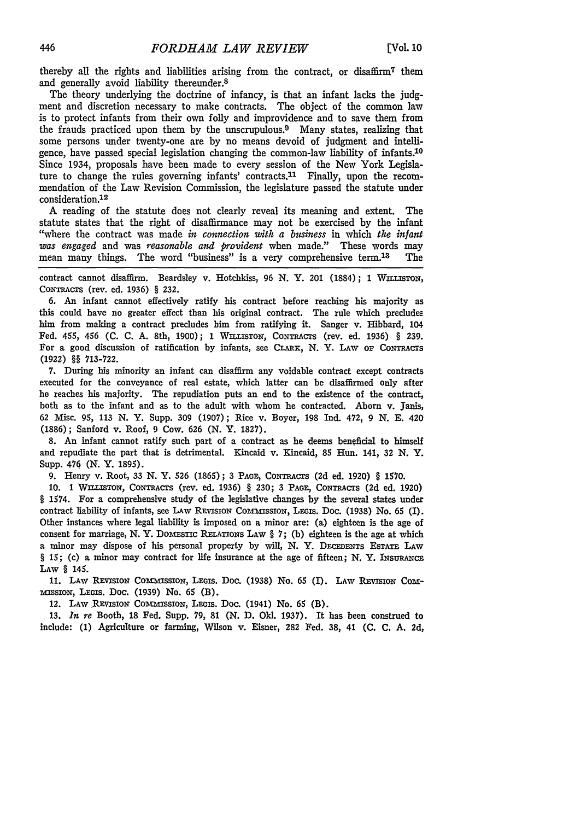thereby all the rights and liabilities arising from the contract, or disaffirm7 them and generally avoid liability thereunder.8

The theory underlying the doctrine of infancy, is that an infant lacks the judgment and discretion necessary to make contracts. The object of the common law is to protect infants from their own folly and improvidence and to save them from the frauds practiced upon them by the unscrupulous.<sup>9</sup> Many states, realizing that some persons under twenty-one are by no means devoid of judgment and intelligence, have passed special legislation changing the common-law liability of infants.<sup>10</sup> Since 1934, proposals have been made to every session of the New York Legislature to change the rules governing infants' contracts.<sup>11</sup> Finally, upon the recommendation of the Law Revision Commission, the legislature passed the statute under consideration.<sup>12</sup>

A reading of the statute does not clearly reveal its meaning and extent. The statute states that the right of disaffirmance may not be exercised by the infant "where the contract was made *in connection with a business* in which *the infant was engaged* and was *reasonable and provident* when made." These words may mean many things. The word "business" is a very comprehensive term.<sup>13</sup> The

contract cannot disaffirm. Beardsley v. Hotchkiss, 96 N. Y. 201 (1884); 1 WILLISTON, CONTRACTS (rev. ed. 1936) § 232.

**6.** An infant cannot effectively ratify his contract before reaching his majority as this could have no greater effect than his original contract. The rule which precludes him from making a contract precludes him from ratifying it. Sanger v. Hibbard, 104 Fed. 455, 456 (C. C. A. 8th, 1900); 1 WILLISTON, CONTRACTS (rev. ed. 1936) § 239. For a good discussion of ratification by infants, see CLARK, N. Y. LAW OF CONTRACTS **(1922)** §§ 713-722.

7. During his minority an infant can disaffirm any voidable contract except contracts executed for the conveyance of real estate, which latter can be disaffirmed only after he reaches his majority. The repudiation puts an end to the existence of the contract, both as to the infant and as to the adult with whom he contracted. Aborn v. Janis, **62** Misc. 95, **113** N. Y. Supp. 309 **(1907);** Rice v. Boyer, **198** Ind. 472, 9 **N. E.** 420 **(1886);** Sanford v. Roof, 9 Cow. **626 (N.** Y. **1827).**

8. An infant cannot ratify such part of a contract as he deems beneficial to himself and repudiate the part that is detrimental. Kincaid v. Kincaid, **85** Hun. 141, **32 N.** Y. Supp. 476 **(N.** Y. **1895).**

**9.** Henry v. Root, 33 **N.** Y. **526 (1865);** 3 **PAGE,** CONTRACTS **(2d** ed. 1920) § **1570.**

**10. 1** WILLsTON, CONTRACTS (rev. ed. **1936)** § **230;** 3 **PAGE,** CONTRACTS **(2d** ed. **1920)** *§* 1574. For a comprehensive study of the legislative changes **by** the several states under contract liability of infants, see LAW REVISION COMMISSION, LEGIS. Doc. (1938) No. 65 (I). Other instances where legal liability is imposed on a minor are: **(a)** eighteen is the age of consent for marriage, **N.** Y. DomEsTic **RELATIONS** LAW § 7; **(b)** eighteen is the age at which a minor may dispose of his personal property **by** will, **N.** Y. **DECEDENTS** ESTATE LAW *§* **15;** (c) a minor may contract for life insurance at the age of fifteen; **N.** Y. **INSURANCE** LAW § 145.

**11.** LAW REVIsrON ComnrssioN, **Lxois.** Doc. (1938) No. 65 (I). LAW **REVISION** COm**i"ISSION, LEGis. Doc. (1939)** No. 65 (B).

12. LAW REVISION COMMISSION, LEGIS. Doc. (1941) No. 65 (B).

**13.** *In re* Booth, **18** Fed. Supp. 79, **81** (N. **D.** Old. **1937).** It has been construed to include: (1) Agriculture or farming, Wilson v. Eisner, **282** Fed. **38,** 41 **(C.** C. A. **2d,**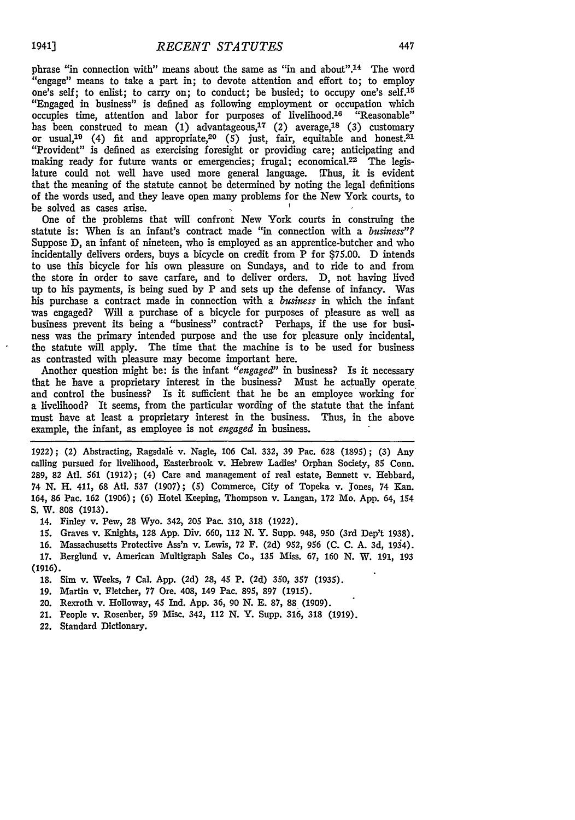phrase "in connection with" means about the same as "in and about".<sup>14</sup> The word "engage" means to take a part in; to devote attention and effort to; to employ one's self; to enlist; to carry on; to conduct; be busied; to occupy one's self.<sup>15</sup> "Engaged in business" is defined as following employment or occupation which occupies time, attention and labor for purposes of livelihood.<sup>16</sup> "Reasonable" has been construed to mean (1) advantageous,<sup>17</sup> (2) average,<sup>18</sup> (3) customary or usual,<sup>19</sup> (4) fit and appropriate,<sup>20</sup> (5) just, fair, equitable and honest.<sup>21</sup> "Provident" is defined as exercising foresight or providing care; anticipating and making ready for future wants or emergencies; frugal; economical.<sup>22</sup> The legislature could not well have used more general language. Thus, it is evident that the meaning of the statute cannot be determined by noting the legal definitions of the words used, and they leave open many problems for the New York courts, to be solved as cases arise. **f**

One of the problems that will confront New York courts in construing the statute is: When is an infant's contract made "in connection with a *business"?* Suppose D, an infant of nineteen, who is employed as an apprentice-butcher and who incidentally delivers orders, buys a bicycle on credit from P for \$75.00. D intends to use this bicycle for his own pleasure on Sundays, and to ride to and from the store in order to save carfare, and to deliver orders. D, not having lived up to his payments, is being sued by P and sets up the defense of infancy. Was his purchase a contract made in connection with a *business* in which the infant was engaged? Will a purchase of a bicycle for purposes of pleasure as well as business prevent its being a "business" contract? Perhaps, if the use for business was the primary intended purpose and the use for pleasure only incidental, the statute will apply. The time that the machine is to be used for business as contrasted with pleasure may become important here.

Another question might be: is the infant *"engaged"* in business? Is it necessary that he have a proprietary interest in the business? Must he actually operate and control the business? Is it sufficient that he be an employee working for a livelihood? It seems, from the particular wording of the statute that the infant must have at least a proprietary interest in the business. Thus, in the above example, the infant, as employee is not *engaged* in business.

**1922);** (2) Abstracting, Ragsdali v. Nagle, **106** Cal. **332, 39** Pac. **628 (1895); (3)** Any calling pursued for livelihood, Easterbrook v. Hebrew Ladies' Orphan Society, **85** Conn. **289, 82** At. *561* **(1912);** (4) Care and management of real estate, Bennett v. Hebbard, 74 N. H. 411, **68** Atl. *537* **(1907); (5)** Commerce, City of Topeka v. Jones, 74 Kan. 164, **86** Pac. **162 (1906); (6)** Hotel Keeping, Thompson v. Langan, **172** Mo. App. **64,** 154 **S. W. 808 (1913).**

**14. Finley v.** Pew, **28** Wyo. **342) 205** Pac. **310, 318 (1922).**

*15.* Graves v. Knights, 128 **App.** Div. 660, **112 N.** Y. Supp. 948, **950** (3rd Dep't **1938).**

**16.** Massachusetts Protective Ass'n v. Lewis, **72 F. (2d) 952,** *956* (C. C. A. 3d, 1934). **17.** Berglund v. American Multigraph Sales Co., **135 Miss. 67, 160 N.** W. **191, 193 (1916).**

**18.** Sim v. Weeks, **7** Cal. **App.** (2d) **28, 45 P. (2d) 350,** *357* **(1935).**

**19.** Martin v. Fletcher, **77** Ore. 408, 149 Pac. **895, 897 (1915).**

**20. Rexroth v. Holloway,** 45 Ind. App. **36, 90 N. E. 87, 88 (1909).**

**21.** People v. Rosenber, **59** Misc. **342, 112** N. Y. Supp. **316, 318 (1919).**

**22. Standard Dictionary.**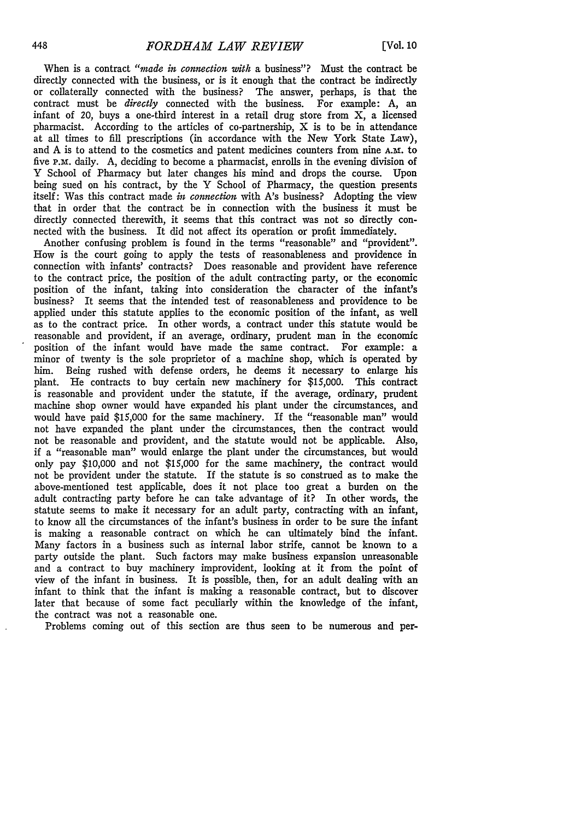When is a contract *"made in connection with* a business"? Must the contract be directly connected with the business, or is it enough that the contract be indirectly or collaterally connected with the business? The answer, perhaps, is that the contract must be *directly* connected with the business. For example: A, an infant of 20, buys a one-third interest in a retail drug store from X, a licensed pharmacist. According to the articles of co-partnership, X is to be in attendance at all times to fill prescriptions (in accordance with the New York State Law), and A is to attend to the cosmetics and patent medicines counters from nine **A.M.** to five P.m. daily. A, deciding to become a pharmacist, enrolls in the evening division of Y School of Pharmacy but later changes his mind and drops the course. Upon being sued on his contract, by the Y School of Pharmacy, the question presents itself: Was this contract made *in connection* with A's business? Adopting the view that in order that the contract be in connection with the business it must be directly connected therewith, it seems that this contract was not so directly connected with the business. It did not affect its operation or profit immediately.

Another confusing problem is found in the terms "reasonable" and "provident". How is the court going to apply the tests of reasonableness and providence in connection with infants' contracts? Does reasonable and provident have reference to the contract price, the position of the adult contracting party, or the economic position of the infant, taking into consideration the character of the infant's business? It seems that the intended test of reasonableness and providence to be applied under this statute applies to the economic position of the infant, as well as to the contract price. In other words, a contract under this statute would be reasonable and provident, if an average, ordinary, prudent man in the economic position of the infant would have made the same contract. For example: a minor of twenty is the sole proprietor of a machine shop, which is operated by him. Being rushed with defense orders, he deems it necessary to enlarge his plant. He contracts to buy certain new machinery for \$15,000. This contract is reasonable and provident under the statute, if the average, ordinary, prudent machine shop owner would have expanded his plant under the circumstances, and would have paid \$15,000 for the same machinery. If the "reasonable man" would not have expanded the plant under the circumstances, then the contract would not be reasonable and provident, and the statute would not be applicable. Also, if a "reasonable man" would enlarge the plant under the circumstances, but would only pay \$10,000 and not \$15,000 for the same machinery, the contract would not be provident under the statute. If the statute is so construed as to make the above-mentioned test applicable, does it not place too great a burden on the adult contracting party before he can take advantage of it? In other words, the statute seems to make it necessary for an adult party, contracting with an infant, to know all the circumstances of the infant's business in order to be sure the infant is making a reasonable contract on which he can ultimately bind the infant. Many factors in a business such as internal labor strife, cannot be known to a party outside the plant. Such factors may make business expansion unreasonable and a contract to buy machinery improvident, looking at it from the point of view of the infant in business. It is possible, then, for an adult dealing with an infant to think that the infant is making a reasonable contract, but to discover later that because of some fact peculiarly within the knowledge of the infant, the contract was not a reasonable one.

Problems coming out of this section are thus seen to be numerous and per-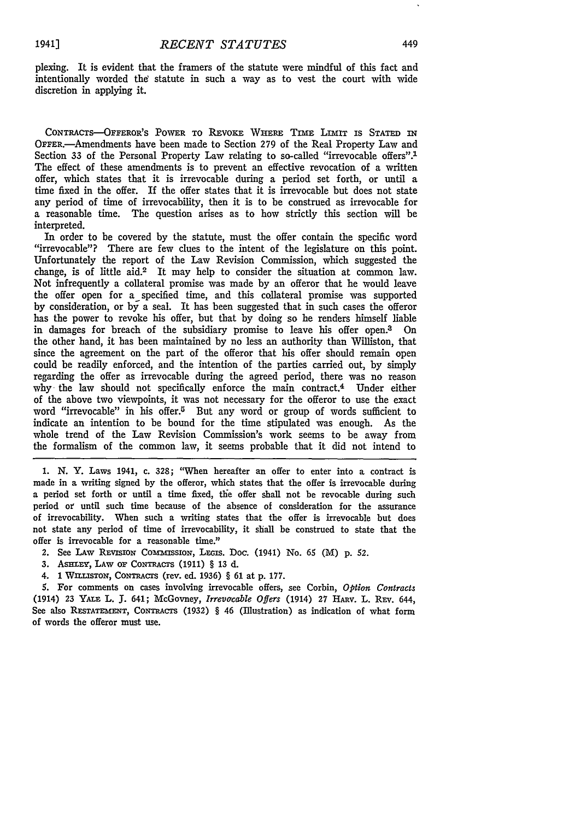plexing. It is evident that the framers of the statute were mindful of this fact and intentionally worded the statute in such a way as to vest the court with wide discretion in applying it.

CONTRACTS-OFFEROR'S POWER TO REVOKE WHERE TIME LIMIT IS STATED IN OFFER.—Amendments have been made to Section 279 of the Real Property Law and Section 33 of the Personal Property Law relating to so-called "irrevocable offers".<sup>1</sup> The effect of these amendments is to prevent an effective revocation of a written offer, which states that it is irrevocable during a period set forth, or until a time fixed in the offer. If the offer states that it is irrevocable but does not state any period of time of irrevocability, then it is to be construed as irrevocable for a reasonable time. The question arises as to how strictly this section will be interpreted.

In order to be covered by the statute, must the offer contain the specific word "irrevocable"? There are few clues to the intent of the legislature on this point. Unfortunately the report of the Law Revision Commission, which suggested the change, is of little aid.2 It may help to consider the situation at common law. Not infrequently a collateral promise was made by an offeror that he would leave the offer open for a specified time, and this collateral promise was supported by consideration, or by a seal. It has been suggested that in such cases the offeror has the power to revoke his offer, but that by doing so he renders himself liable in damages for breach of the subsidiary promise to leave his offer open.3 On the other hand, it has been maintained by no less an authority than Williston, that since the agreement on the part of the offeror that his offer should remain open could be readily enforced, and the intention of the parties carried out, by simply regarding the offer as irrevocable during the agreed period, there was no reason why the law should not specifically enforce the main contract.4 Under either of the above two viewpoints, it was not necessary for the offeror to use the exact word "irrevocable" in his offer.<sup>5</sup> But any word or group of words sufficient to indicate an intention to be bound for the time stipulated was enough. As the whole trend of the Law Revision Commission's work seems to be away from the formalism of the common law, it seems probable that it did not intend to

1. N. Y. Laws 1941, c. 328; "When hereafter an offer to enter into a contract is made in a writing signed by the offeror, which states that the offer is irrevocable during a period set forth or until a time fixed, the offer shall not be revocable during such period or until such time because of the absence of consideration for the assurance of irrevocability. When such a writing states that the offer is irrevocable but does not state any period of time of irrevocability, it shall be construed to state that the offer is irrevocable for a reasonable time."

- 2. See Law REVISION COMMISSION, LEGIS. Doc. (1941) No. 65 (M) p. 52.
- 3. ASHLEY, LAw or CONTRACTS (1911) § 13 d.
- 4. 1 WnrUsToN, CONTRACTS (rev. ed. 1936) § **61** at p. 177.

*5.* For comments on cases involving irrevocable offers, see Corbin, *Option Contracts* (1914) 23 YALE L. J. 641; McGovney, *Irrevacable Offers* (1914) 27 HARv. L. REv. 644, See also **RESTATEMENT,** CONTRACTS (1932) § 46 (Illustration) as indication of what form of words the offeror must use.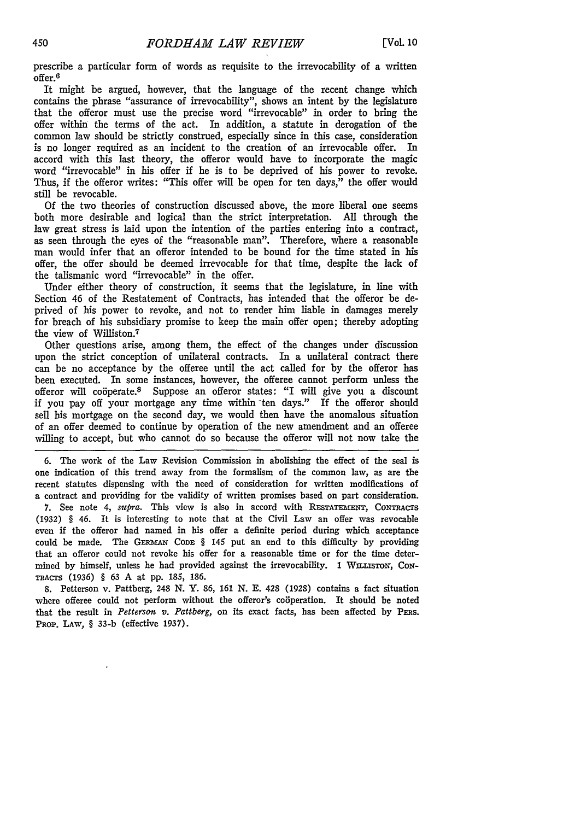prescribe a particular form of words as requisite to the irrevocability of a written offer. <sup>6</sup>

It might be argued, however, that the language of the recent change which contains the phrase "assurance of irrevocability", shows an intent by the legislature that the offeror must use the precise word "irrevocable" in order to bring the offer within the terms of the act. In addition, a statute in derogation of the common law should be strictly construed, especially since in this case, consideration is no longer required as an incident to the creation of an irrevocable offer. In accord with this last theory, the offeror would have to incorporate the magic word "irrevocable" in his offer if he is to be deprived of his power to revoke. Thus, if the offeror writes: "This offer will be open for ten days," the offer would still be revocable.

Of the two theories of construction discussed above, the more liberal one seems both more desirable and logical than the strict interpretation. All through the law great stress is laid upon the intention of the parties entering into a contract, as seen through the eyes of the "reasonable man". Therefore, where a reasonable man would infer that an offeror intended to be bound for the time stated in his offer, the offer should be deemed irrevocable for that time, despite the lack of the talismanic word "irrevocable" in the offer.

Under either theory of construction, it seems that the legislature, in line with Section 46 of the Restatement of Contracts, has intended that the offeror be deprived of his power to revoke, and not to render him liable in damages merely for breach of his subsidiary promise to keep the main offer open; thereby adopting the view of Williston.7

Other questions arise, among them, the effect of the changes under discussion upon the strict conception of unilateral contracts. In a unilateral contract there can be no acceptance by the offeree until the act called for by the offeror has been executed. In some instances, however, the offeree cannot perform unless the offeror will coöperate.<sup>8</sup> Suppose an offeror states: "I will give you a discount if you pay off your mortgage any time within ten days." If the offeror should sell his mortgage on the second day, we would then have the anomalous situation of an offer deemed to continue by operation of the new amendment and an offeree willing to accept, but who cannot do so because the offeror will not now take the

6. The work of the Law Revision Commission in abolishing the effect of the seal is one indication of this trend away from the formalism of the common law, as are the recent statutes dispensing with the need of consideration for written modifications of a contract and providing for the validity of written promises based on part consideration.

7. See note 4, *supra*. This view is also in accord with RESTATEMENT, CONTRACTS (1932) § 46. It is interesting to note that at the Civil Law an offer was revocable even if the offeror had named in his offer a definite period during which acceptance could be made. The GERMAN CODE § 145 put an end to this difficulty by providing that an offeror could not revoke his offer for a reasonable time or for the time determined by himself, unless he had provided against the irrevocability. 1 WILLISTON, CON-TRACTS (1936) § 63 A at pp. 185, 186.

8. Petterson v. Pattberg, 248 N. Y. 86, 161 N. E. 428 (1928) contains a fact situation where offeree could not perform without the offeror's cooperation. It should be noted that the result in *Petterson v. Pattberg,* on its exact facts, has been affected by PEas. PROP. LAW, § 33-b (effective 1937).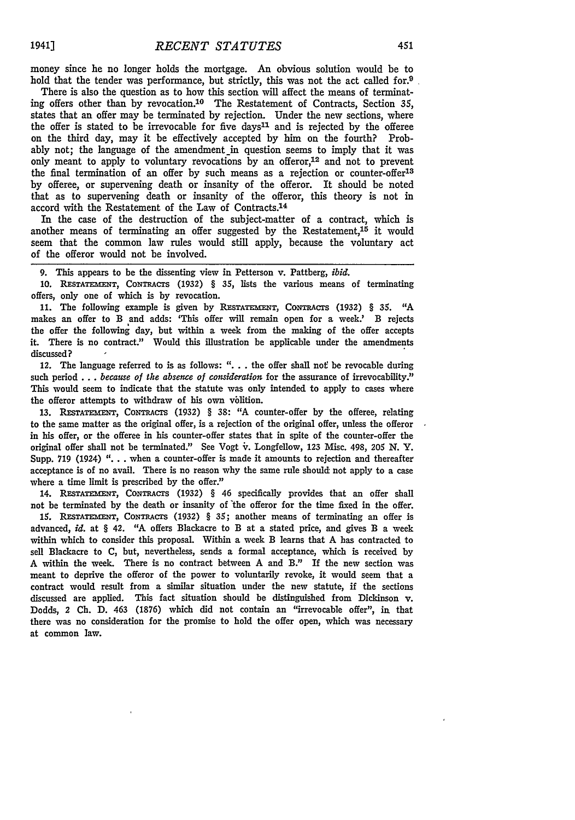money since he no longer holds the mortgage. An obvious solution would be to hold that the tender was performance, but strictly, this was not the act called for.<sup>9</sup>

There is also the question as to how this section will affect the means of terminating offers other than by revocation. 10 The Restatement of Contracts, Section *35,* states that an offer may be terminated by rejection. Under the new sections, where the offer is stated to be irrevocable for five days<sup>11</sup> and is rejected by the offeree on the third day, may it be effectively accepted by him on the fourth? Probably not; the language of the amendment in question seems to imply that it was only meant to apply to voluntary revocations by an offeror, $12$  and not to prevent the final termination of an offer by such means as a rejection or counter-offer<sup>13</sup> by offeree, or supervening death or insanity of the offeror. It should be noted that as to supervening death or insanity of the offeror, this theory is not in accord with the Restatement of the Law of Contracts. <sup>14</sup>

In the case of the destruction of the subject-matter of a contract, which is another means of terminating an offer suggested by the Restatement, $15$  it would seem that the common law rules would still apply, because the voluntary act of the offeror would not be involved.

9. This appears to be the dissenting view in Petterson v. Pattberg, *ibid.*

10. **RESTATE ENT,** CONTRACTS (1932) § **35,** lists the various means of terminating offers, only one of which is by revocation.

**11.** The following example is given by **REsTATEMENT,** CONTRACTS (1932) § **35.** "A makes an offer to B and adds: 'This offer will remain open for a week.' B rejects the offer the following day, but within a week from the making of the offer accepts it. There is no contract." Would this illustration be applicable under the amendments discussed?

12. The language referred to is as follows: "... the offer shall not be revocable during such period **...** *because of the absetce of comideration* for the assurance of irrevocability." This would seem to indicate that the statute was only intended to apply to cases where the offeror attempts to withdraw of his own volition.

13. **RESTATEMN,** CONTRACTS (1932) § 38: **"A** counter-offer by the offeree, relating to the same matter as the original offer, is a rejection of the original offer, unless the offeror in his offer, or the offeree in his counter-offer states that in spite of the counter-offer the original offer shall not be terminated." See Vogt ir. Longfellow, **123** Misc. 498, 205 N. Y. Supp. 719 (1924) "... when a counter-offer is made it amounts to rejection and thereafter acceptance is of no avail. There is no reason why the same rule should not apply to a case where a time limit is prescribed by the offer."

14. **RESTATEMENT,** CONTRACTS (1932) § 46 specifically provides that an offer shall not be terminated by the death or insanity of 'the offeror for the time fixed in the offer.

15. **RESTATEENT, CONTRACTS** (1932) § 35; another means of terminating an offer is advanced, *id.* at § 42. "A offers Blackacre to B at a stated price, and gives B a week within which to consider this proposal. Within a week B learns that A has contracted to sell Blackacre to C, but, nevertheless, sends a formal acceptance, which is received by A within the week. There is no contract between A and B." If the new section was meant to deprive the offeror of the power to voluntarily revoke, it would seem that a contract would result from a similar situation under the new statute, if the sections discussed are applied. This fact situation should be distinguished from Dickinson v. Dodds, 2 Ch. D. 463 (1876) which did not contain an "irrevocable offer", in that there was no consideration for the promise to hold the offer open, which was necessary at common law.